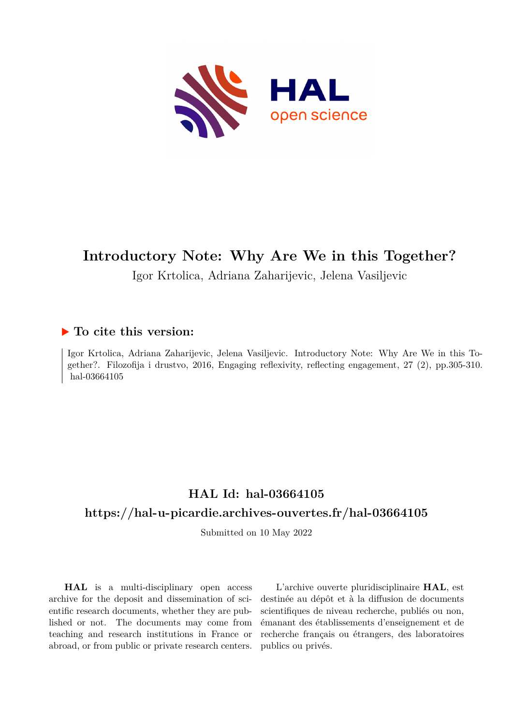

## **Introductory Note: Why Are We in this Together?**

Igor Krtolica, Adriana Zaharijevic, Jelena Vasiljevic

## **To cite this version:**

Igor Krtolica, Adriana Zaharijevic, Jelena Vasiljevic. Introductory Note: Why Are We in this Together?. Filozofija i drustvo, 2016, Engaging reflexivity, reflecting engagement, 27 (2), pp.305-310. hal-03664105

## **HAL Id: hal-03664105 <https://hal-u-picardie.archives-ouvertes.fr/hal-03664105>**

Submitted on 10 May 2022

**HAL** is a multi-disciplinary open access archive for the deposit and dissemination of scientific research documents, whether they are published or not. The documents may come from teaching and research institutions in France or abroad, or from public or private research centers.

L'archive ouverte pluridisciplinaire **HAL**, est destinée au dépôt et à la diffusion de documents scientifiques de niveau recherche, publiés ou non, émanant des établissements d'enseignement et de recherche français ou étrangers, des laboratoires publics ou privés.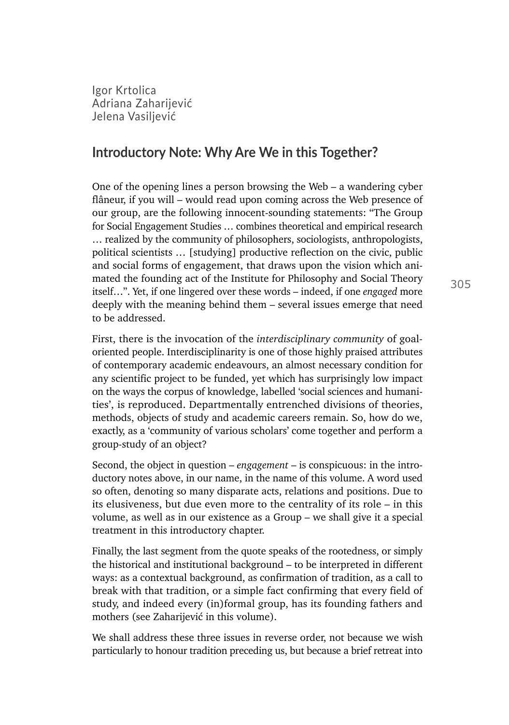Igor Krtolica Adriana Zaharijeviࣀ Jelena Vasiliević

## **Introductory Note: Why Are We in this Together?**

One of the opening lines a person browsing the Web – a wandering cyber flâneur, if you will – would read upon coming across the Web presence of our group, are the following innocent-sounding statements: "The Group for Social Engagement Studies … combines theoretical and empirical research … realized by the community of philosophers, sociologists, anthropologists, political scientists … [studying] productive reflection on the civic, public and social forms of engagement, that draws upon the vision which animated the founding act of the Institute for Philosophy and Social Theory itself…". Yet, if one lingered over these words – indeed, if one *engaged* more deeply with the meaning behind them – several issues emerge that need to be addressed.

First, there is the invocation of the *interdisciplinary community* of goaloriented people. Interdisciplinarity is one of those highly praised attributes of contemporary academic endeavours, an almost necessary condition for any scientific project to be funded, yet which has surprisingly low impact on the ways the corpus of knowledge, labelled 'social sciences and humanities', is reproduced. Departmentally entrenched divisions of theories, methods, objects of study and academic careers remain. So, how do we, exactly, as a 'community of various scholars' come together and perform a group-study of an object?

Second, the object in question – *engagement* – is conspicuous: in the introductory notes above, in our name, in the name of this volume. A word used so often, denoting so many disparate acts, relations and positions. Due to its elusiveness, but due even more to the centrality of its role – in this volume, as well as in our existence as a Group – we shall give it a special treatment in this introductory chapter.

Finally, the last segment from the quote speaks of the rootedness, or simply the historical and institutional background – to be interpreted in different ways: as a contextual background, as confirmation of tradition, as a call to break with that tradition, or a simple fact confirming that every field of study, and indeed every (in)formal group, has its founding fathers and mothers (see Zaharijević in this volume).

We shall address these three issues in reverse order, not because we wish particularly to honour tradition preceding us, but because a brief retreat into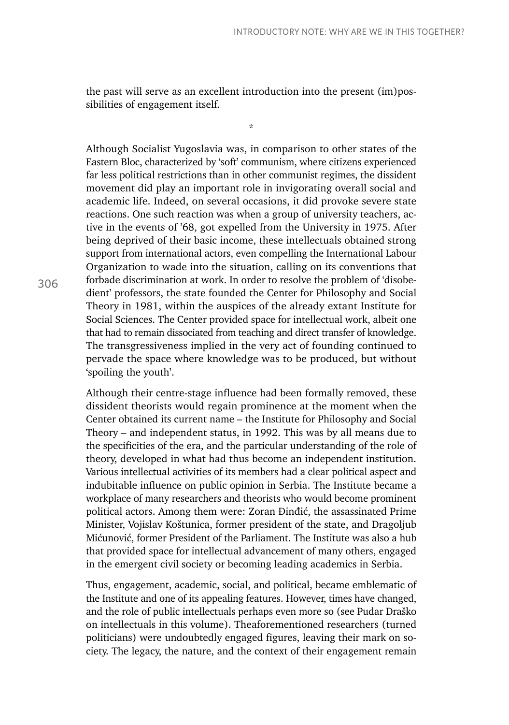the past will serve as an excellent introduction into the present (im)possibilities of engagement itself.

\*

Although Socialist Yugoslavia was, in comparison to other states of the Eastern Bloc, characterized by 'soft' communism, where citizens experienced far less political restrictions than in other communist regimes, the dissident movement did play an important role in invigorating overall social and academic life. Indeed, on several occasions, it did provoke severe state reactions. One such reaction was when a group of university teachers, active in the events of '68, got expelled from the University in 1975. After being deprived of their basic income, these intellectuals obtained strong support from international actors, even compelling the International Labour Organization to wade into the situation, calling on its conventions that forbade discrimination at work. In order to resolve the problem of 'disobedient' professors, the state founded the Center for Philosophy and Social Theory in 1981, within the auspices of the already extant Institute for Social Sciences. The Center provided space for intellectual work, albeit one that had to remain dissociated from teaching and direct transfer of knowledge. The transgressiveness implied in the very act of founding continued to pervade the space where knowledge was to be produced, but without 'spoiling the youth'.

Although their centre-stage influence had been formally removed, these dissident theorists would regain prominence at the moment when the Center obtained its current name – the Institute for Philosophy and Social Theory – and independent status, in 1992. This was by all means due to the specificities of the era, and the particular understanding of the role of theory, developed in what had thus become an independent institution. Various intellectual activities of its members had a clear political aspect and indubitable influence on public opinion in Serbia. The Institute became a workplace of many researchers and theorists who would become prominent political actors. Among them were: Zoran Đinđić, the assassinated Prime Minister, Vojislav Koštunica, former president of the state, and Dragoljub Mićunović, former President of the Parliament. The Institute was also a hub that provided space for intellectual advancement of many others, engaged in the emergent civil society or becoming leading academics in Serbia.

Thus, engagement, academic, social, and political, became emblematic of the Institute and one of its appealing features. However, times have changed, and the role of public intellectuals perhaps even more so (see Pudar Draško on intellectuals in this volume). Theaforementioned researchers (turned politicians) were undoubtedly engaged figures, leaving their mark on society. The legacy, the nature, and the context of their engagement remain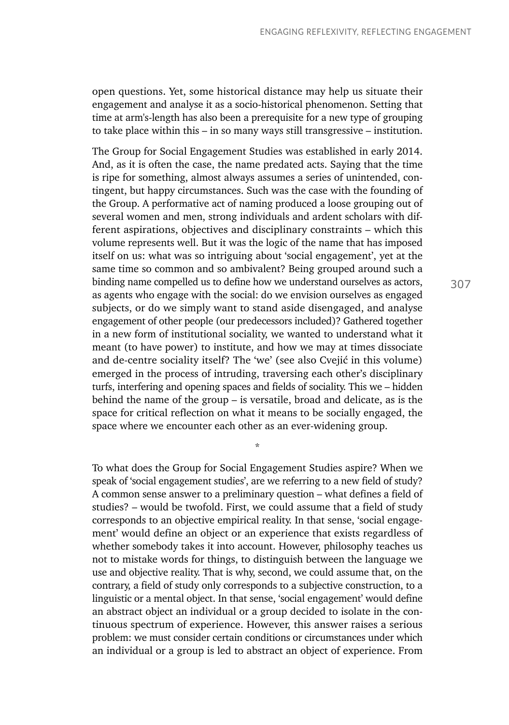open questions. Yet, some historical distance may help us situate their engagement and analyse it as a socio-historical phenomenon. Setting that time at arm's-length has also been a prerequisite for a new type of grouping to take place within this – in so many ways still transgressive – institution.

The Group for Social Engagement Studies was established in early 2014. And, as it is often the case, the name predated acts. Saying that the time is ripe for something, almost always assumes a series of unintended, contingent, but happy circumstances. Such was the case with the founding of the Group. A performative act of naming produced a loose grouping out of several women and men, strong individuals and ardent scholars with different aspirations, objectives and disciplinary constraints – which this volume represents well. But it was the logic of the name that has imposed itself on us: what was so intriguing about 'social engagement', yet at the same time so common and so ambivalent? Being grouped around such a binding name compelled us to define how we understand ourselves as actors, as agents who engage with the social: do we envision ourselves as engaged subjects, or do we simply want to stand aside disengaged, and analyse engagement of other people (our predecessors included)? Gathered together in a new form of institutional sociality, we wanted to understand what it meant (to have power) to institute, and how we may at times dissociate and de-centre sociality itself? The 'we' (see also Cvejić in this volume) emerged in the process of intruding, traversing each other's disciplinary turfs, interfering and opening spaces and fields of sociality. This we – hidden behind the name of the group – is versatile, broad and delicate, as is the space for critical reflection on what it means to be socially engaged, the space where we encounter each other as an ever-widening group.

To what does the Group for Social Engagement Studies aspire? When we speak of 'social engagement studies', are we referring to a new field of study? A common sense answer to a preliminary question – what defines a field of studies? – would be twofold. First, we could assume that a field of study corresponds to an objective empirical reality. In that sense, 'social engagement' would define an object or an experience that exists regardless of whether somebody takes it into account. However, philosophy teaches us not to mistake words for things, to distinguish between the language we use and objective reality. That is why, second, we could assume that, on the contrary, a field of study only corresponds to a subjective construction, to a linguistic or a mental object. In that sense, 'social engagement' would define an abstract object an individual or a group decided to isolate in the continuous spectrum of experience. However, this answer raises a serious problem: we must consider certain conditions or circumstances under which an individual or a group is led to abstract an object of experience. From

\*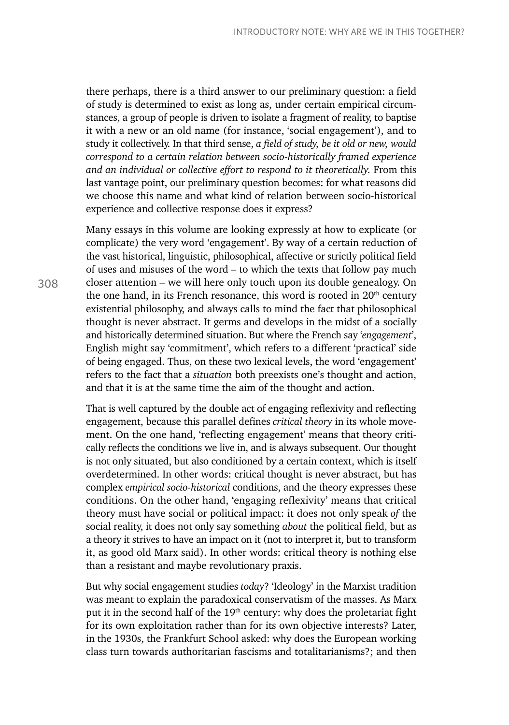there perhaps, there is a third answer to our preliminary question: a field of study is determined to exist as long as, under certain empirical circumstances, a group of people is driven to isolate a fragment of reality, to baptise it with a new or an old name (for instance, 'social engagement'), and to study it collectively. In that third sense, *a field of study, be it old or new, would correspond to a certain relation between socio-historically framed experience and an individual or collective effort to respond to it theoretically.* From this last vantage point, our preliminary question becomes: for what reasons did we choose this name and what kind of relation between socio-historical experience and collective response does it express?

Many essays in this volume are looking expressly at how to explicate (or complicate) the very word 'engagement'. By way of a certain reduction of the vast historical, linguistic, philosophical, affective or strictly political field of uses and misuses of the word – to which the texts that follow pay much closer attention – we will here only touch upon its double genealogy. On the one hand, in its French resonance, this word is rooted in  $20<sup>th</sup>$  century existential philosophy, and always calls to mind the fact that philosophical thought is never abstract. It germs and develops in the midst of a socially and historically determined situation. But where the French say '*engagement*', English might say 'commitment', which refers to a different 'practical' side of being engaged. Thus, on these two lexical levels, the word 'engagement' refers to the fact that a *situation* both preexists one's thought and action, and that it is at the same time the aim of the thought and action.

That is well captured by the double act of engaging reflexivity and reflecting engagement, because this parallel defines *critical theory* in its whole movement. On the one hand, 'reflecting engagement' means that theory critically reflects the conditions we live in, and is always subsequent. Our thought is not only situated, but also conditioned by a certain context, which is itself overdetermined. In other words: critical thought is never abstract, but has complex *empirical socio-historical* conditions, and the theory expresses these conditions. On the other hand, 'engaging reflexivity' means that critical theory must have social or political impact: it does not only speak *of* the social reality, it does not only say something *about* the political field, but as a theory it strives to have an impact on it (not to interpret it, but to transform it, as good old Marx said). In other words: critical theory is nothing else than a resistant and maybe revolutionary praxis.

But why social engagement studies *today*? 'Ideology' in the Marxist tradition was meant to explain the paradoxical conservatism of the masses. As Marx put it in the second half of the 19<sup>th</sup> century: why does the proletariat fight for its own exploitation rather than for its own objective interests? Later, in the 1930s, the Frankfurt School asked: why does the European working class turn towards authoritarian fascisms and totalitarianisms?; and then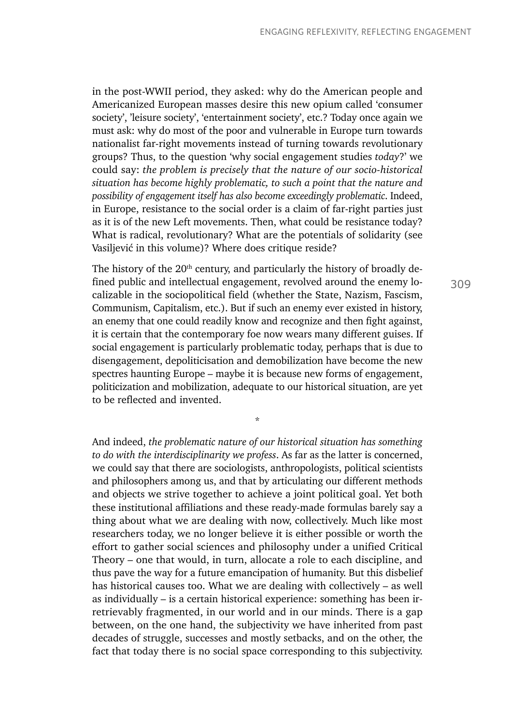in the post-WWII period, they asked: why do the American people and Americanized European masses desire this new opium called 'consumer society', 'leisure society', 'entertainment society', etc.? Today once again we must ask: why do most of the poor and vulnerable in Europe turn towards nationalist far-right movements instead of turning towards revolutionary groups? Thus, to the question 'why social engagement studies *today*?' we could say: *the problem is precisely that the nature of our socio-historical situation has become highly problematic, to such a point that the nature and possibility of engagement itself has also become exceedingly problematic*. Indeed, in Europe, resistance to the social order is a claim of far-right parties just as it is of the new Left movements. Then, what could be resistance today? What is radical, revolutionary? What are the potentials of solidarity (see Vasiljević in this volume)? Where does critique reside?

The history of the  $20<sup>th</sup>$  century, and particularly the history of broadly defined public and intellectual engagement, revolved around the enemy localizable in the sociopolitical field (whether the State, Nazism, Fascism, Communism, Capitalism, etc.). But if such an enemy ever existed in history, an enemy that one could readily know and recognize and then fight against, it is certain that the contemporary foe now wears many different guises. If social engagement is particularly problematic today, perhaps that is due to disengagement, depoliticisation and demobilization have become the new spectres haunting Europe – maybe it is because new forms of engagement, politicization and mobilization, adequate to our historical situation, are yet to be reflected and invented.

\*

And indeed, *the problematic nature of our historical situation has something to do with the interdisciplinarity we profess*. As far as the latter is concerned, we could say that there are sociologists, anthropologists, political scientists and philosophers among us, and that by articulating our different methods and objects we strive together to achieve a joint political goal. Yet both these institutional affiliations and these ready-made formulas barely say a thing about what we are dealing with now, collectively. Much like most researchers today, we no longer believe it is either possible or worth the effort to gather social sciences and philosophy under a unified Critical Theory – one that would, in turn, allocate a role to each discipline, and thus pave the way for a future emancipation of humanity. But this disbelief has historical causes too. What we are dealing with collectively – as well as individually – is a certain historical experience: something has been irretrievably fragmented, in our world and in our minds. There is a gap between, on the one hand, the subjectivity we have inherited from past decades of struggle, successes and mostly setbacks, and on the other, the fact that today there is no social space corresponding to this subjectivity.